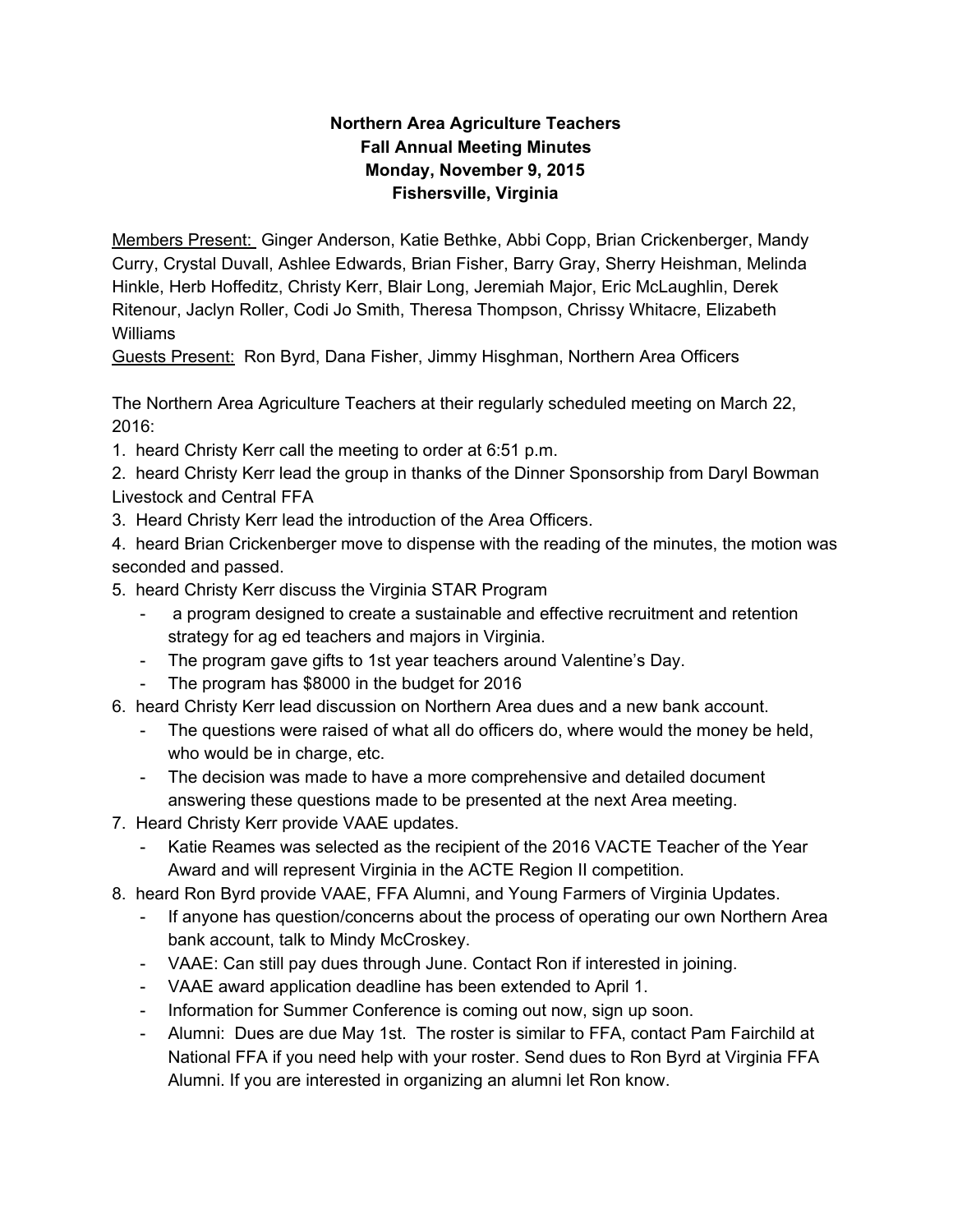## **Northern Area Agriculture Teachers Fall Annual Meeting Minutes Monday, November 9, 2015 Fishersville, Virginia**

Members Present: Ginger Anderson, Katie Bethke, Abbi Copp, Brian Crickenberger, Mandy Curry, Crystal Duvall, Ashlee Edwards, Brian Fisher, Barry Gray, Sherry Heishman, Melinda Hinkle, Herb Hoffeditz, Christy Kerr, Blair Long, Jeremiah Major, Eric McLaughlin, Derek Ritenour, Jaclyn Roller, Codi Jo Smith, Theresa Thompson, Chrissy Whitacre, Elizabeth Williams

Guests Present: Ron Byrd, Dana Fisher, Jimmy Hisghman, Northern Area Officers

The Northern Area Agriculture Teachers at their regularly scheduled meeting on March 22, 2016:

- 1. heard Christy Kerr call the meeting to order at 6:51 p.m.
- 2. heard Christy Kerr lead the group in thanks of the Dinner Sponsorship from Daryl Bowman Livestock and Central FFA
- 3. Heard Christy Kerr lead the introduction of the Area Officers.

4. heard Brian Crickenberger move to dispense with the reading of the minutes, the motion was seconded and passed.

- 5. heard Christy Kerr discuss the Virginia STAR Program
	- a program designed to create a sustainable and effective recruitment and retention strategy for ag ed teachers and majors in Virginia.
	- The program gave gifts to 1st year teachers around Valentine's Day.
	- The program has \$8000 in the budget for 2016
- 6. heard Christy Kerr lead discussion on Northern Area dues and a new bank account.
	- The questions were raised of what all do officers do, where would the money be held, who would be in charge, etc.
	- The decision was made to have a more comprehensive and detailed document answering these questions made to be presented at the next Area meeting.
- 7. Heard Christy Kerr provide VAAE updates.
	- Katie Reames was selected as the recipient of the 2016 VACTE Teacher of the Year Award and will represent Virginia in the ACTE Region II competition.
- 8. heard Ron Byrd provide VAAE, FFA Alumni, and Young Farmers of Virginia Updates.
	- If anyone has question/concerns about the process of operating our own Northern Area bank account, talk to Mindy McCroskey.
	- VAAE: Can still pay dues through June. Contact Ron if interested in joining.
	- VAAE award application deadline has been extended to April 1.
	- Information for Summer Conference is coming out now, sign up soon.
	- Alumni: Dues are due May 1st. The roster is similar to FFA, contact Pam Fairchild at National FFA if you need help with your roster. Send dues to Ron Byrd at Virginia FFA Alumni. If you are interested in organizing an alumni let Ron know.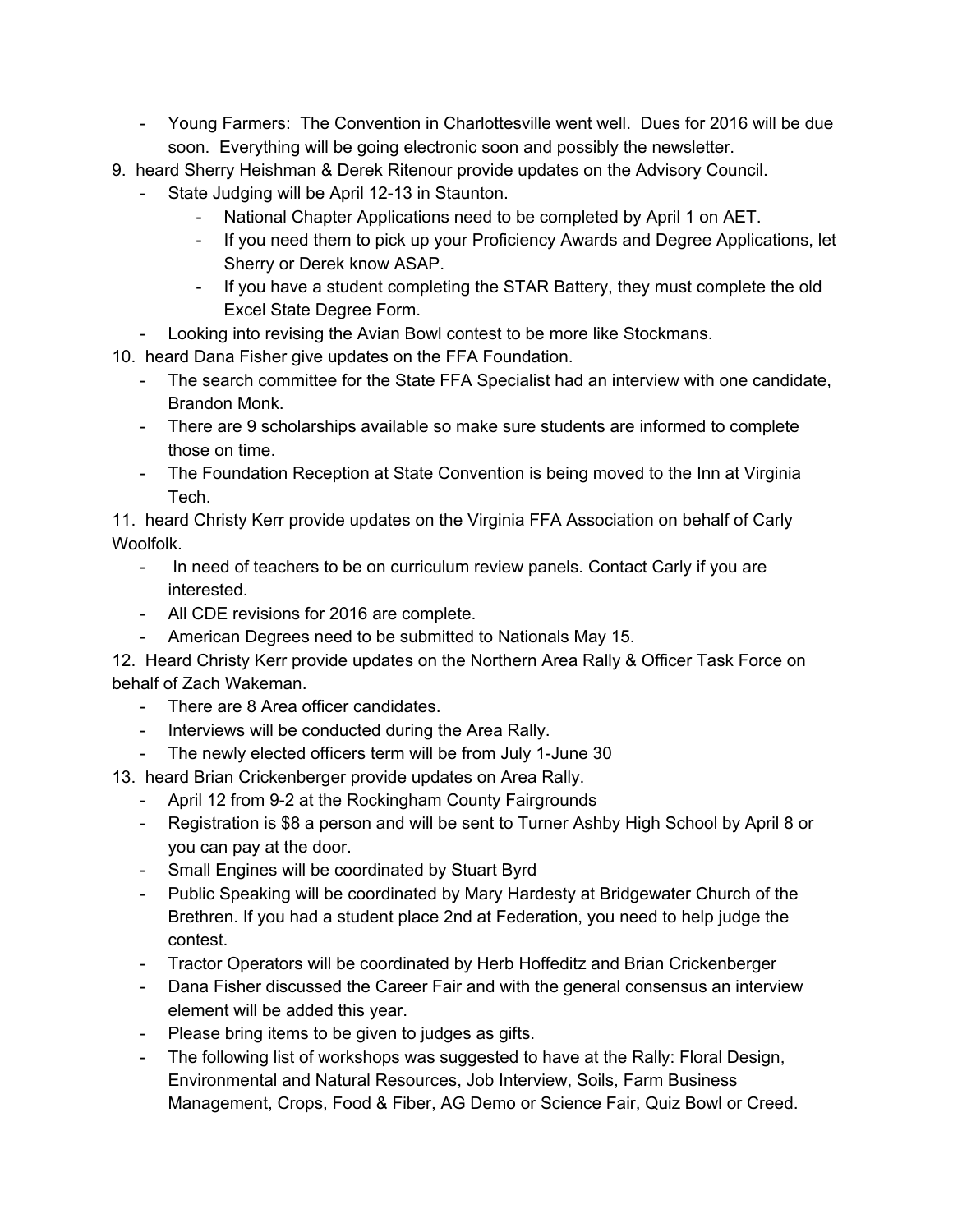- Young Farmers: The Convention in Charlottesville went well. Dues for 2016 will be due soon. Everything will be going electronic soon and possibly the newsletter.
- 9. heard Sherry Heishman & Derek Ritenour provide updates on the Advisory Council.
	- State Judging will be April 12-13 in Staunton.
		- National Chapter Applications need to be completed by April 1 on AET.
		- If you need them to pick up your Proficiency Awards and Degree Applications, let Sherry or Derek know ASAP.
		- If you have a student completing the STAR Battery, they must complete the old Excel State Degree Form.
	- Looking into revising the Avian Bowl contest to be more like Stockmans.
- 10. heard Dana Fisher give updates on the FFA Foundation.
	- The search committee for the State FFA Specialist had an interview with one candidate, Brandon Monk.
	- There are 9 scholarships available so make sure students are informed to complete those on time.
	- The Foundation Reception at State Convention is being moved to the Inn at Virginia Tech.

11. heard Christy Kerr provide updates on the Virginia FFA Association on behalf of Carly Woolfolk.

- In need of teachers to be on curriculum review panels. Contact Carly if you are interested.
- All CDE revisions for 2016 are complete.
- American Degrees need to be submitted to Nationals May 15.

12. Heard Christy Kerr provide updates on the Northern Area Rally & Officer Task Force on behalf of Zach Wakeman.

- There are 8 Area officer candidates.
- Interviews will be conducted during the Area Rally.
- The newly elected officers term will be from July 1-June 30
- 13. heard Brian Crickenberger provide updates on Area Rally.
	- April 12 from 9-2 at the Rockingham County Fairgrounds
	- Registration is \$8 a person and will be sent to Turner Ashby High School by April 8 or you can pay at the door.
	- Small Engines will be coordinated by Stuart Byrd
	- Public Speaking will be coordinated by Mary Hardesty at Bridgewater Church of the Brethren. If you had a student place 2nd at Federation, you need to help judge the contest.
	- Tractor Operators will be coordinated by Herb Hoffeditz and Brian Crickenberger
	- Dana Fisher discussed the Career Fair and with the general consensus an interview element will be added this year.
	- Please bring items to be given to judges as gifts.
	- The following list of workshops was suggested to have at the Rally: Floral Design, Environmental and Natural Resources, Job Interview, Soils, Farm Business Management, Crops, Food & Fiber, AG Demo or Science Fair, Quiz Bowl or Creed.